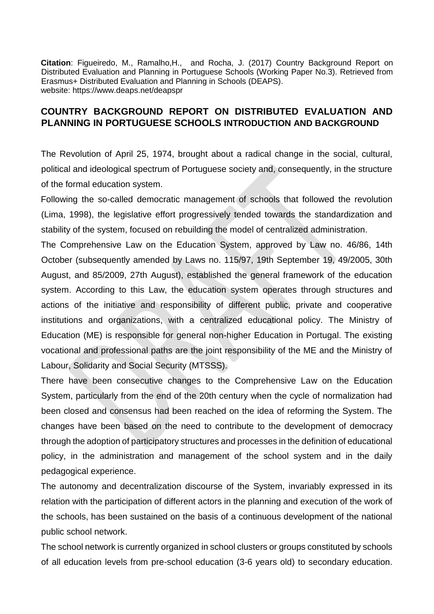**Citation**: Figueiredo, M., Ramalho,H., and Rocha, J. (2017) Country Background Report on Distributed Evaluation and Planning in Portuguese Schools (Working Paper No.3). Retrieved from Erasmus+ Distributed Evaluation and Planning in Schools (DEAPS). website: https://www.deaps.net/deapspr

## **COUNTRY BACKGROUND REPORT ON DISTRIBUTED EVALUATION AND PLANNING IN PORTUGUESE SCHOOLS INTRODUCTION AND BACKGROUND**

The Revolution of April 25, 1974, brought about a radical change in the social, cultural, political and ideological spectrum of Portuguese society and, consequently, in the structure of the formal education system.

Following the so-called democratic management of schools that followed the revolution (Lima, 1998), the legislative effort progressively tended towards the standardization and stability of the system, focused on rebuilding the model of centralized administration.

The Comprehensive Law on the Education System, approved by Law no. 46/86, 14th October (subsequently amended by Laws no. 115/97, 19th September 19, 49/2005, 30th August, and 85/2009, 27th August), established the general framework of the education system. According to this Law, the education system operates through structures and actions of the initiative and responsibility of different public, private and cooperative institutions and organizations, with a centralized educational policy. The Ministry of Education (ME) is responsible for general non-higher Education in Portugal. The existing vocational and professional paths are the joint responsibility of the ME and the Ministry of Labour, Solidarity and Social Security (MTSSS).

There have been consecutive changes to the Comprehensive Law on the Education System, particularly from the end of the 20th century when the cycle of normalization had been closed and consensus had been reached on the idea of reforming the System. The changes have been based on the need to contribute to the development of democracy through the adoption of participatory structures and processes in the definition of educational policy, in the administration and management of the school system and in the daily pedagogical experience.

The autonomy and decentralization discourse of the System, invariably expressed in its relation with the participation of different actors in the planning and execution of the work of the schools, has been sustained on the basis of a continuous development of the national public school network.

The school network is currently organized in school clusters or groups constituted by schools of all education levels from pre-school education (3-6 years old) to secondary education.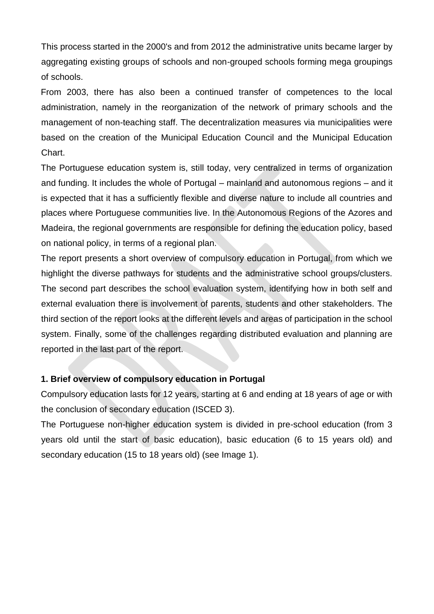This process started in the 2000's and from 2012 the administrative units became larger by aggregating existing groups of schools and non-grouped schools forming mega groupings of schools.

From 2003, there has also been a continued transfer of competences to the local administration, namely in the reorganization of the network of primary schools and the management of non-teaching staff. The decentralization measures via municipalities were based on the creation of the Municipal Education Council and the Municipal Education Chart.

The Portuguese education system is, still today, very centralized in terms of organization and funding. It includes the whole of Portugal – mainland and autonomous regions – and it is expected that it has a sufficiently flexible and diverse nature to include all countries and places where Portuguese communities live. In the Autonomous Regions of the Azores and Madeira, the regional governments are responsible for defining the education policy, based on national policy, in terms of a regional plan.

The report presents a short overview of compulsory education in Portugal, from which we highlight the diverse pathways for students and the administrative school groups/clusters. The second part describes the school evaluation system, identifying how in both self and external evaluation there is involvement of parents, students and other stakeholders. The third section of the report looks at the different levels and areas of participation in the school system. Finally, some of the challenges regarding distributed evaluation and planning are reported in the last part of the report.

## **1. Brief overview of compulsory education in Portugal**

Compulsory education lasts for 12 years, starting at 6 and ending at 18 years of age or with the conclusion of secondary education (ISCED 3).

The Portuguese non-higher education system is divided in pre-school education (from 3 years old until the start of basic education), basic education (6 to 15 years old) and secondary education (15 to 18 years old) (see Image 1).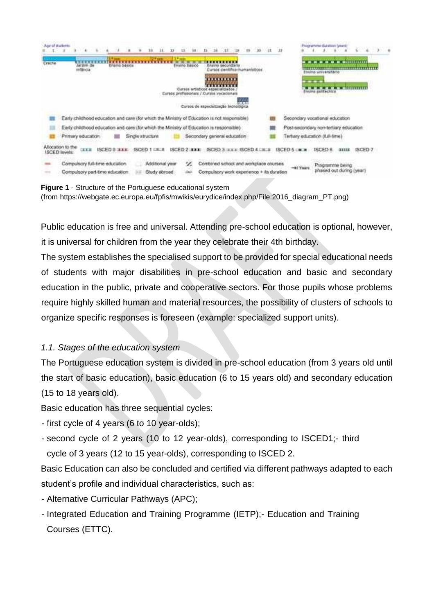| Crache | <b>Nor of Mulleris</b><br>largim de<br>Frising basico<br>Enarro secundaria<br>Enamo Sasice<br><b>FRANCISCO CONTROL</b><br>erancia<br>a montant commercial and<br>Cursos caractifica-huancanisticos<br>,,,,,,,,,,<br>a artisticos especializado<br>unus arefazionais / Cursos vecacional<br>TOOLS ENTIRE ENTERTAINMENT CONTINUES.<br><b>A</b><br>Cursos de especialização increidoria | Programme distatore (years)<br>$- - - - - - - - - - - - - -$<br><b>Ensina universitado</b><br>$- - -$<br>IVERNI BEREACHIOU<br><b>ITALIAN SERVICE AND INCOME.</b> |
|--------|--------------------------------------------------------------------------------------------------------------------------------------------------------------------------------------------------------------------------------------------------------------------------------------------------------------------------------------------------------------------------------------|------------------------------------------------------------------------------------------------------------------------------------------------------------------|
|        | Early childhood education and care (for which the Ministry of Education is not responsible)                                                                                                                                                                                                                                                                                          | Secondary vocational education                                                                                                                                   |
|        | Early childhood education and care (for which the Ministry of Education is responsible)                                                                                                                                                                                                                                                                                              | Post-secondary non-tertiary education                                                                                                                            |
|        | Secondary general education-<br>Primary education<br>Single structure                                                                                                                                                                                                                                                                                                                | Tertiary education (full-time)                                                                                                                                   |
|        | ibon to the<br>ISCED 3 JULY ISCED 4 CHER<br><b>ISCED 0 STATE</b><br><b>ISCED 1 UK #</b><br><b>ISCED 2 JULIE</b><br><b>CEEE</b><br><b>ISCED levels</b>                                                                                                                                                                                                                                | ISCED 5 IN W<br>ISCED <sub>6</sub>                                                                                                                               |
|        | Compulsory full-time education<br>Combined school and workplace courses<br>z<br>Additional year<br>Compulsory part-time education<br>Compulsory work experience + its duration<br>Study abroad                                                                                                                                                                                       | Programme being<br>phased out during (year)                                                                                                                      |

**Figure 1** - Structure of the Portuguese educational system (from https://webgate.ec.europa.eu/fpfis/mwikis/eurydice/index.php/File:2016\_diagram\_PT.png)

Public education is free and universal. Attending pre-school education is optional, however, it is universal for children from the year they celebrate their 4th birthday.

The system establishes the specialised support to be provided for special educational needs of students with major disabilities in pre-school education and basic and secondary education in the public, private and cooperative sectors. For those pupils whose problems require highly skilled human and material resources, the possibility of clusters of schools to organize specific responses is foreseen (example: specialized support units).

# *1.1. Stages of the education system*

The Portuguese education system is divided in pre-school education (from 3 years old until the start of basic education), basic education (6 to 15 years old) and secondary education (15 to 18 years old).

Basic education has three sequential cycles:

- first cycle of 4 years (6 to 10 year-olds);
- second cycle of 2 years (10 to 12 year-olds), corresponding to ISCED1;- third cycle of 3 years (12 to 15 year-olds), corresponding to ISCED 2.

Basic Education can also be concluded and certified via different pathways adapted to each student's profile and individual characteristics, such as:

- Alternative Curricular Pathways (APC);
- Integrated Education and Training Programme (IETP);- Education and Training Courses (ETTC).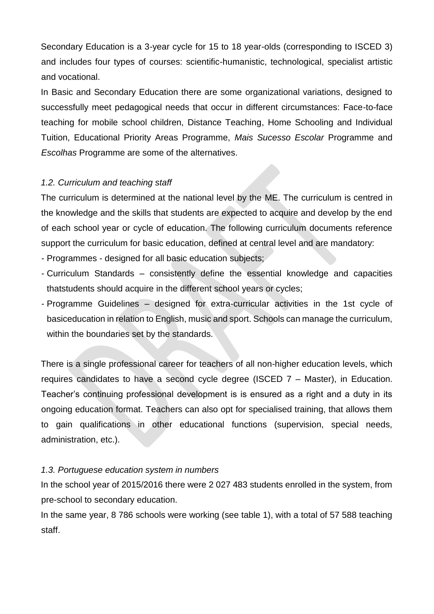Secondary Education is a 3-year cycle for 15 to 18 year-olds (corresponding to ISCED 3) and includes four types of courses: scientific-humanistic, technological, specialist artistic and vocational.

In Basic and Secondary Education there are some organizational variations, designed to successfully meet pedagogical needs that occur in different circumstances: Face-to-face teaching for mobile school children, Distance Teaching, Home Schooling and Individual Tuition, Educational Priority Areas Programme, *Mais Sucesso Escolar* Programme and *Escolhas* Programme are some of the alternatives.

## *1.2. Curriculum and teaching staff*

The curriculum is determined at the national level by the ME. The curriculum is centred in the knowledge and the skills that students are expected to acquire and develop by the end of each school year or cycle of education. The following curriculum documents reference support the curriculum for basic education, defined at central level and are mandatory:

- Programmes designed for all basic education subjects;
- Curriculum Standards consistently define the essential knowledge and capacities thatstudents should acquire in the different school years or cycles;
- Programme Guidelines designed for extra-curricular activities in the 1st cycle of basiceducation in relation to English, music and sport. Schools can manage the curriculum, within the boundaries set by the standards.

There is a single professional career for teachers of all non-higher education levels, which requires candidates to have a second cycle degree (ISCED 7 – Master), in Education. Teacher's continuing professional development is is ensured as a right and a duty in its ongoing education format. Teachers can also opt for specialised training, that allows them to gain qualifications in other educational functions (supervision, special needs, administration, etc.).

## *1.3. Portuguese education system in numbers*

In the school year of 2015/2016 there were 2 027 483 students enrolled in the system, from pre-school to secondary education.

In the same year, 8 786 schools were working (see table 1), with a total of 57 588 teaching staff.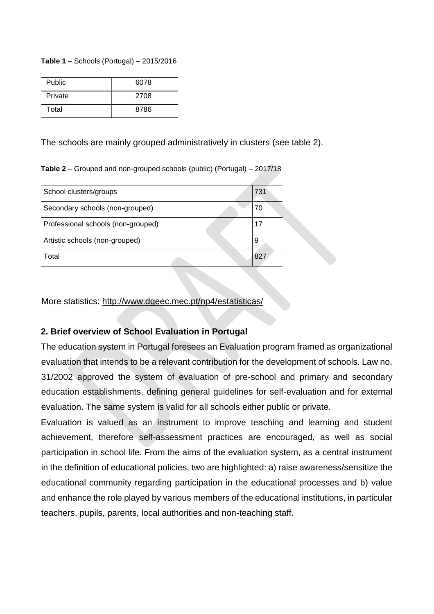#### **Table 1** – Schools (Portugal) – 2015/2016

| Public  | 6078 |
|---------|------|
| Private | 2708 |
| Total   | 8786 |

The schools are mainly grouped administratively in clusters (see table 2).

**Table 2** – Grouped and non-grouped schools (public) (Portugal) – 2017/18

| School clusters/groups             | 731 |
|------------------------------------|-----|
| Secondary schools (non-grouped)    | 70  |
| Professional schools (non-grouped) | 17  |
| Artistic schools (non-grouped)     | 9   |
| Total                              | 827 |
|                                    |     |

More statistics:<http://www.dgeec.mec.pt/np4/estatisticas/>

#### **2. Brief overview of School Evaluation in Portugal**

The education system in Portugal foresees an Evaluation program framed as organizational evaluation that intends to be a relevant contribution for the development of schools. Law no. 31/2002 approved the system of evaluation of pre-school and primary and secondary education establishments, defining general guidelines for self-evaluation and for external evaluation. The same system is valid for all schools either public or private.

Evaluation is valued as an instrument to improve teaching and learning and student achievement, therefore self-assessment practices are encouraged, as well as social participation in school life. From the aims of the evaluation system, as a central instrument in the definition of educational policies, two are highlighted: a) raise awareness/sensitize the educational community regarding participation in the educational processes and b) value and enhance the role played by various members of the educational institutions, in particular teachers, pupils, parents, local authorities and non-teaching staff.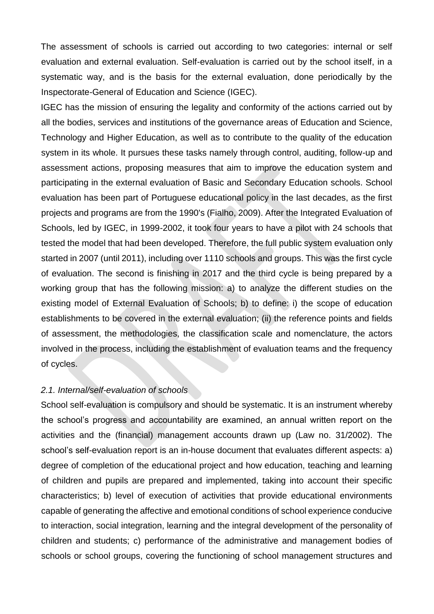The assessment of schools is carried out according to two categories: internal or self evaluation and external evaluation. Self-evaluation is carried out by the school itself, in a systematic way, and is the basis for the external evaluation, done periodically by the Inspectorate-General of Education and Science (IGEC).

IGEC has the mission of ensuring the legality and conformity of the actions carried out by all the bodies, services and institutions of the governance areas of Education and Science, Technology and Higher Education, as well as to contribute to the quality of the education system in its whole. It pursues these tasks namely through control, auditing, follow-up and assessment actions, proposing measures that aim to improve the education system and participating in the external evaluation of Basic and Secondary Education schools. School evaluation has been part of Portuguese educational policy in the last decades, as the first projects and programs are from the 1990's (Fialho, 2009). After the Integrated Evaluation of Schools, led by IGEC, in 1999-2002, it took four years to have a pilot with 24 schools that tested the model that had been developed. Therefore, the full public system evaluation only started in 2007 (until 2011), including over 1110 schools and groups. This was the first cycle of evaluation. The second is finishing in 2017 and the third cycle is being prepared by a working group that has the following mission: a) to analyze the different studies on the existing model of External Evaluation of Schools; b) to define: i) the scope of education establishments to be covered in the external evaluation; (ii) the reference points and fields of assessment, the methodologies, the classification scale and nomenclature, the actors involved in the process, including the establishment of evaluation teams and the frequency of cycles.

#### *2.1. Internal/self-evaluation of schools*

School self-evaluation is compulsory and should be systematic. It is an instrument whereby the school's progress and accountability are examined, an annual written report on the activities and the (financial) management accounts drawn up (Law no. 31/2002). The school's self-evaluation report is an in-house document that evaluates different aspects: a) degree of completion of the educational project and how education, teaching and learning of children and pupils are prepared and implemented, taking into account their specific characteristics; b) level of execution of activities that provide educational environments capable of generating the affective and emotional conditions of school experience conducive to interaction, social integration, learning and the integral development of the personality of children and students; c) performance of the administrative and management bodies of schools or school groups, covering the functioning of school management structures and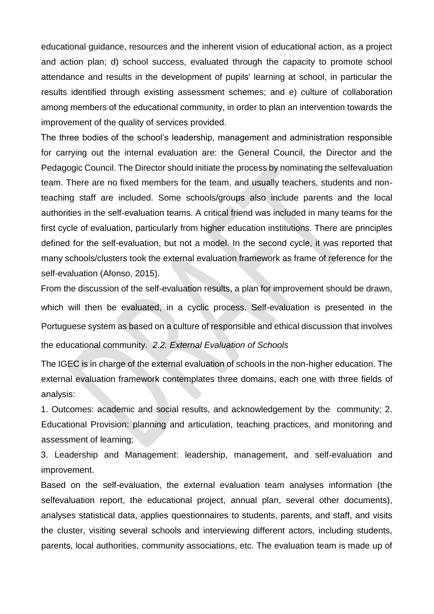educational guidance, resources and the inherent vision of educational action, as a project and action plan; d) school success, evaluated through the capacity to promote school attendance and results in the development of pupils' learning at school, in particular the results identified through existing assessment schemes; and e) culture of collaboration among members of the educational community, in order to plan an intervention towards the improvement of the quality of services provided.

The three bodies of the school's leadership, management and administration responsible for carrying out the internal evaluation are: the General Council, the Director and the Pedagogic Council. The Director should initiate the process by nominating the selfevaluation team. There are no fixed members for the team, and usually teachers, students and nonteaching staff are included. Some schools/groups also include parents and the local authorities in the self-evaluation teams. A critical friend was included in many teams for the first cycle of evaluation, particularly from higher education institutions. There are principles defined for the self-evaluation, but not a model. In the second cycle, it was reported that many schools/clusters took the external evaluation framework as frame of reference for the self-evaluation (Afonso, 2015).

From the discussion of the self-evaluation results, a plan for improvement should be drawn, which will then be evaluated, in a cyclic process. Self-evaluation is presented in the Portuguese system as based on a culture of responsible and ethical discussion that involves the educational community. *2.2. External Evaluation of Schools*

The IGEC is in charge of the external evaluation of schools in the non-higher education. The external evaluation framework contemplates three domains, each one with three fields of analysis:

1. Outcomes: academic and social results, and acknowledgement by the community; 2. Educational Provision: planning and articulation, teaching practices, and monitoring and assessment of learning;

3. Leadership and Management: leadership, management, and self-evaluation and improvement.

Based on the self-evaluation, the external evaluation team analyses information (the selfevaluation report, the educational project, annual plan, several other documents), analyses statistical data, applies questionnaires to students, parents, and staff, and visits the cluster, visiting several schools and interviewing different actors, including students, parents, local authorities, community associations, etc. The evaluation team is made up of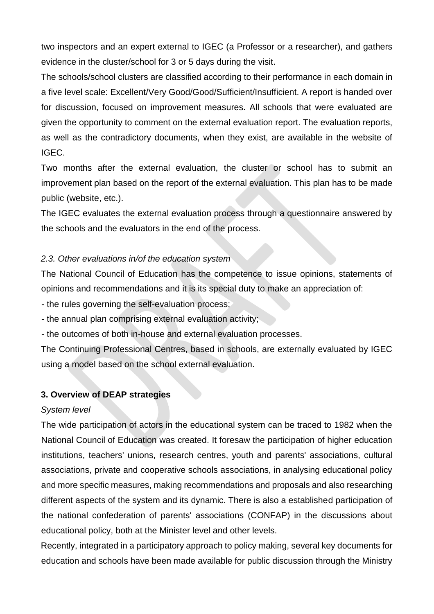two inspectors and an expert external to IGEC (a Professor or a researcher), and gathers evidence in the cluster/school for 3 or 5 days during the visit.

The schools/school clusters are classified according to their performance in each domain in a five level scale: Excellent/Very Good/Good/Sufficient/Insufficient. A report is handed over for discussion, focused on improvement measures. All schools that were evaluated are given the opportunity to comment on the external evaluation report. The evaluation reports, as well as the contradictory documents, when they exist, are available in the website of IGEC.

Two months after the external evaluation, the cluster or school has to submit an improvement plan based on the report of the external evaluation. This plan has to be made public (website, etc.).

The IGEC evaluates the external evaluation process through a questionnaire answered by the schools and the evaluators in the end of the process.

# *2.3. Other evaluations in/of the education system*

The National Council of Education has the competence to issue opinions, statements of opinions and recommendations and it is its special duty to make an appreciation of:

- the rules governing the self-evaluation process;

- the annual plan comprising external evaluation activity;

- the outcomes of both in-house and external evaluation processes.

The Continuing Professional Centres, based in schools, are externally evaluated by IGEC using a model based on the school external evaluation.

## **3. Overview of DEAP strategies**

## *System level*

The wide participation of actors in the educational system can be traced to 1982 when the National Council of Education was created. It foresaw the participation of higher education institutions, teachers' unions, research centres, youth and parents' associations, cultural associations, private and cooperative schools associations, in analysing educational policy and more specific measures, making recommendations and proposals and also researching different aspects of the system and its dynamic. There is also a established participation of the national confederation of parents' associations (CONFAP) in the discussions about educational policy, both at the Minister level and other levels.

Recently, integrated in a participatory approach to policy making, several key documents for education and schools have been made available for public discussion through the Ministry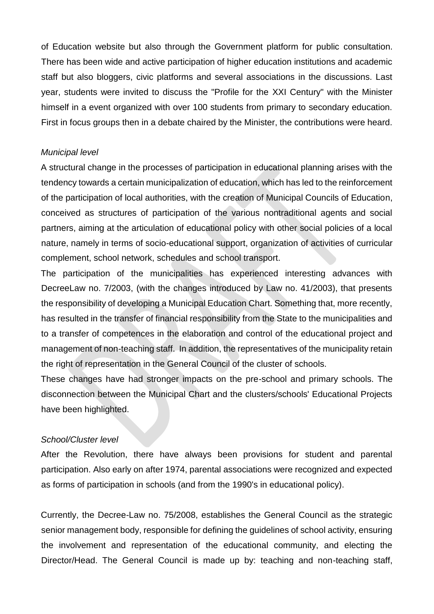of Education website but also through the Government platform for public consultation. There has been wide and active participation of higher education institutions and academic staff but also bloggers, civic platforms and several associations in the discussions. Last year, students were invited to discuss the "Profile for the XXI Century" with the Minister himself in a event organized with over 100 students from primary to secondary education. First in focus groups then in a debate chaired by the Minister, the contributions were heard.

#### *Municipal level*

A structural change in the processes of participation in educational planning arises with the tendency towards a certain municipalization of education, which has led to the reinforcement of the participation of local authorities, with the creation of Municipal Councils of Education, conceived as structures of participation of the various nontraditional agents and social partners, aiming at the articulation of educational policy with other social policies of a local nature, namely in terms of socio-educational support, organization of activities of curricular complement, school network, schedules and school transport.

The participation of the municipalities has experienced interesting advances with DecreeLaw no. 7/2003, (with the changes introduced by Law no. 41/2003), that presents the responsibility of developing a Municipal Education Chart. Something that, more recently, has resulted in the transfer of financial responsibility from the State to the municipalities and to a transfer of competences in the elaboration and control of the educational project and management of non-teaching staff. In addition, the representatives of the municipality retain the right of representation in the General Council of the cluster of schools.

These changes have had stronger impacts on the pre-school and primary schools. The disconnection between the Municipal Chart and the clusters/schools' Educational Projects have been highlighted.

## *School/Cluster level*

After the Revolution, there have always been provisions for student and parental participation. Also early on after 1974, parental associations were recognized and expected as forms of participation in schools (and from the 1990's in educational policy).

Currently, the Decree-Law no. 75/2008, establishes the General Council as the strategic senior management body, responsible for defining the guidelines of school activity, ensuring the involvement and representation of the educational community, and electing the Director/Head. The General Council is made up by: teaching and non-teaching staff,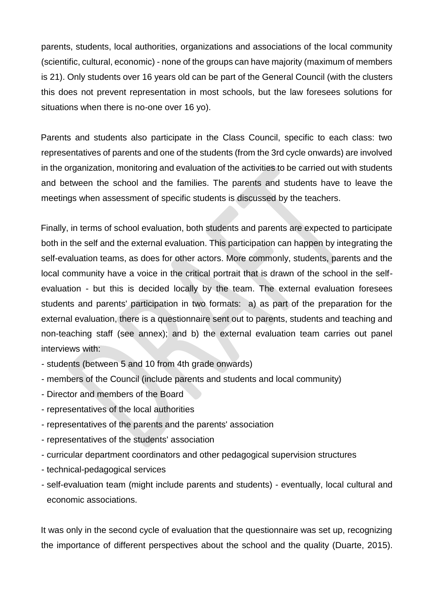parents, students, local authorities, organizations and associations of the local community (scientific, cultural, economic) - none of the groups can have majority (maximum of members is 21). Only students over 16 years old can be part of the General Council (with the clusters this does not prevent representation in most schools, but the law foresees solutions for situations when there is no-one over 16 yo).

Parents and students also participate in the Class Council, specific to each class: two representatives of parents and one of the students (from the 3rd cycle onwards) are involved in the organization, monitoring and evaluation of the activities to be carried out with students and between the school and the families. The parents and students have to leave the meetings when assessment of specific students is discussed by the teachers.

Finally, in terms of school evaluation, both students and parents are expected to participate both in the self and the external evaluation. This participation can happen by integrating the self-evaluation teams, as does for other actors. More commonly, students, parents and the local community have a voice in the critical portrait that is drawn of the school in the selfevaluation - but this is decided locally by the team. The external evaluation foresees students and parents' participation in two formats: a) as part of the preparation for the external evaluation, there is a questionnaire sent out to parents, students and teaching and non-teaching staff (see annex); and b) the external evaluation team carries out panel interviews with:

- students (between 5 and 10 from 4th grade onwards)
- members of the Council (include parents and students and local community)
- Director and members of the Board
- representatives of the local authorities
- representatives of the parents and the parents' association
- representatives of the students' association
- curricular department coordinators and other pedagogical supervision structures
- technical-pedagogical services
- self-evaluation team (might include parents and students) eventually, local cultural and economic associations.

It was only in the second cycle of evaluation that the questionnaire was set up, recognizing the importance of different perspectives about the school and the quality (Duarte, 2015).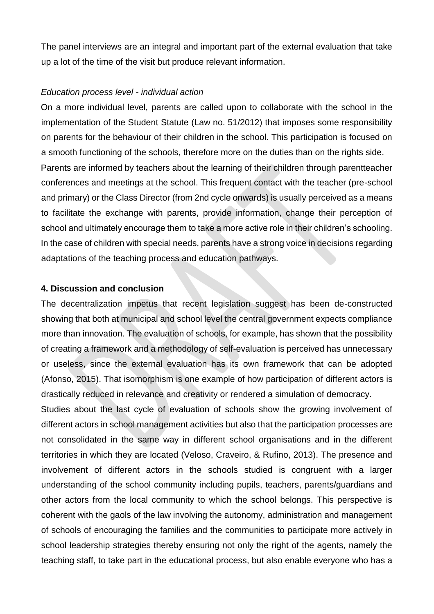The panel interviews are an integral and important part of the external evaluation that take up a lot of the time of the visit but produce relevant information.

#### *Education process level - individual action*

On a more individual level, parents are called upon to collaborate with the school in the implementation of the Student Statute (Law no. 51/2012) that imposes some responsibility on parents for the behaviour of their children in the school. This participation is focused on a smooth functioning of the schools, therefore more on the duties than on the rights side. Parents are informed by teachers about the learning of their children through parentteacher conferences and meetings at the school. This frequent contact with the teacher (pre-school and primary) or the Class Director (from 2nd cycle onwards) is usually perceived as a means to facilitate the exchange with parents, provide information, change their perception of school and ultimately encourage them to take a more active role in their children's schooling. In the case of children with special needs, parents have a strong voice in decisions regarding adaptations of the teaching process and education pathways.

#### **4. Discussion and conclusion**

The decentralization impetus that recent legislation suggest has been de-constructed showing that both at municipal and school level the central government expects compliance more than innovation. The evaluation of schools, for example, has shown that the possibility of creating a framework and a methodology of self-evaluation is perceived has unnecessary or useless, since the external evaluation has its own framework that can be adopted (Afonso, 2015). That isomorphism is one example of how participation of different actors is drastically reduced in relevance and creativity or rendered a simulation of democracy.

Studies about the last cycle of evaluation of schools show the growing involvement of different actors in school management activities but also that the participation processes are not consolidated in the same way in different school organisations and in the different territories in which they are located (Veloso, Craveiro, & Rufino, 2013). The presence and involvement of different actors in the schools studied is congruent with a larger understanding of the school community including pupils, teachers, parents/guardians and other actors from the local community to which the school belongs. This perspective is coherent with the gaols of the law involving the autonomy, administration and management of schools of encouraging the families and the communities to participate more actively in school leadership strategies thereby ensuring not only the right of the agents, namely the teaching staff, to take part in the educational process, but also enable everyone who has a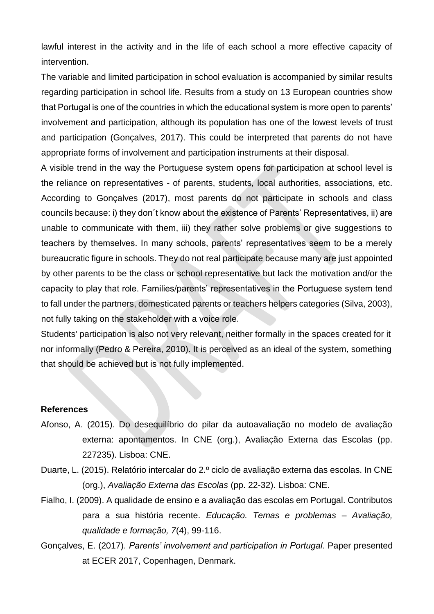lawful interest in the activity and in the life of each school a more effective capacity of intervention.

The variable and limited participation in school evaluation is accompanied by similar results regarding participation in school life. Results from a study on 13 European countries show that Portugal is one of the countries in which the educational system is more open to parents' involvement and participation, although its population has one of the lowest levels of trust and participation (Gonçalves, 2017). This could be interpreted that parents do not have appropriate forms of involvement and participation instruments at their disposal.

A visible trend in the way the Portuguese system opens for participation at school level is the reliance on representatives - of parents, students, local authorities, associations, etc. According to Gonçalves (2017), most parents do not participate in schools and class councils because: i) they don´t know about the existence of Parents' Representatives, ii) are unable to communicate with them, iii) they rather solve problems or give suggestions to teachers by themselves. In many schools, parents' representatives seem to be a merely bureaucratic figure in schools. They do not real participate because many are just appointed by other parents to be the class or school representative but lack the motivation and/or the capacity to play that role. Families/parents' representatives in the Portuguese system tend to fall under the partners, domesticated parents or teachers helpers categories (Silva, 2003), not fully taking on the stakeholder with a voice role.

Students' participation is also not very relevant, neither formally in the spaces created for it nor informally (Pedro & Pereira, 2010). It is perceived as an ideal of the system, something that should be achieved but is not fully implemented.

#### **References**

- Afonso, A. (2015). Do desequilíbrio do pilar da autoavaliação no modelo de avaliação externa: apontamentos. In CNE (org.), Avaliação Externa das Escolas (pp. 227235). Lisboa: CNE.
- Duarte, L. (2015). Relatório intercalar do 2.º ciclo de avaliação externa das escolas. In CNE (org.), *Avaliação Externa das Escolas* (pp. 22-32). Lisboa: CNE.
- Fialho, I. (2009). A qualidade de ensino e a avaliação das escolas em Portugal. Contributos para a sua história recente. *Educação. Temas e problemas – Avaliação, qualidade e formação, 7*(4), 99-116.
- Gonçalves, E. (2017). *Parents' involvement and participation in Portugal*. Paper presented at ECER 2017, Copenhagen, Denmark.